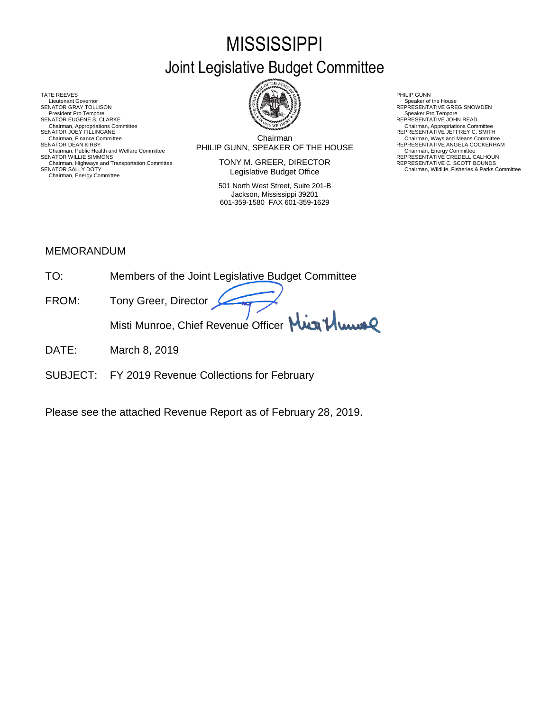# **MISSISSIPPI** Joint Legislative Budget Committee

TATE REEVES THE REDUCT THE REEVES AND RELATED AS A RELATED MALL OF LATER REEVES AND RELATED AT A RELATED MALL OF LATER SUMMARY AND RELATED AT A RELATED AND RELATED AT A RELATED MALL OF LATER SUMMARY AND RELATED AT A RELAT Lieutenant Governor<br>SENATOR GRAY TOLLISON President Pro Tempore SENATOR EUGENE S. CLARKE<br>Chairman, Appropriations Committee<br>SENATOR JOEY FILLINGANE Chairman, Appropriations Committee Chairman, Appropriations Committee<br>SENATOR JOEY FILLINGANE REPRESENTATIVE JEFFREY C. SMITH Chairman, Public Health and Welfare Committee **FERSENT BUNN, SPEAKER OF THE HOUSE** Chairman, Energy Committee Committee<br>SENATOR WILLIE SIMMONS REPRESENTATIVE CREDELL CALHOUN Chairman, Highways and Transportation Committee<br>SENATOR SALLY DOTY Chairman, Energy Committee



Chairman SENATOR DEAN KIRBY (SENATOR DEAN KIRBY) SENATOR DEAN KEPRESENTATIVE ANGELA COCKERHAM<br>Chairman, Public Health and Welfare Committee **Committee Committee Committee** Committee Committee Committee Commit Chairman, Finance Committee **Chairman**<br>SENATOR DEAN KIRBY COMMITTEE CHAIRM SENATOR DEAN KIRBY COCKERHAM

> TONY M. GREER, DIRECTOR Legislative Budget Office

501 North West Street, Suite 201-B Jackson, Mississippi 39201 601-359-1580 FAX 601-359-1629

SENATOR SENATOR SPEAKER Of the House<br>REPRESENTATIVE GREG SNOWDEN<br>Speaker Pro Tempore

REPRESENTATIVE C. SCOTT BOUNDS<br>Chairman, Wildlife, Fisheries & Parks Committee

# MEMORANDUM

| TO <sup>.</sup> | Members of the Joint Legislative Budget Committee |
|-----------------|---------------------------------------------------|
| FROM:           | Tony Greer, Director                              |
|                 | Misti Munroe, Chief Revenue Officer Min Munroe    |
|                 |                                                   |

- DATE: March 8, 2019
- SUBJECT: FY 2019 Revenue Collections for February

Please see the attached Revenue Report as of February 28, 2019.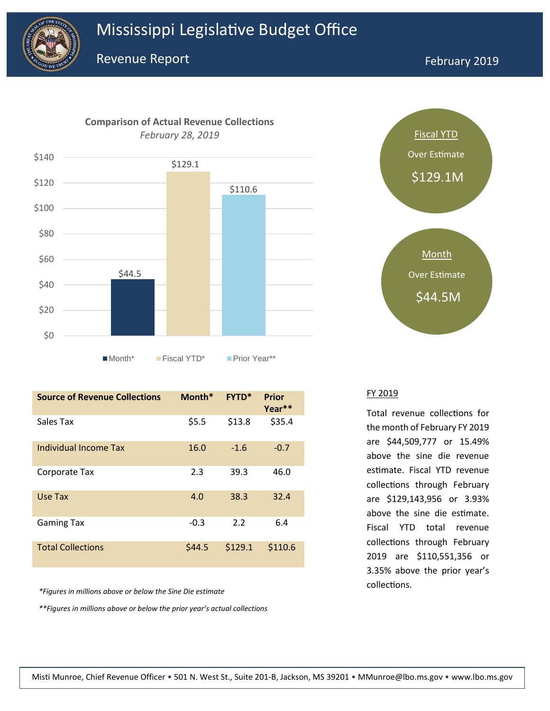



**Source of Revenue Collections Month\* FYTD\* Prior Year\*\*** Sales Tax  $$5.5$   $$13.8$   $$35.4$ Individual Income Tax 16.0 -1.6 -0.7 Corporate Tax 2.3 39.3 46.0 Use Tax 4.0 38.3 32.4 Gaming Tax  $-0.3$  2.2 6.4 Total Collections 644.5 \$129.1 \$110.6

*\*Figures in millions above or below the Sine Die estimate*

*\*\*Figures in millions above or below the prior year's actual collections*



### FY 2019

Total revenue collections for the month of February FY 2019 are \$44,509,777 or 15.49% above the sine die revenue estimate. Fiscal YTD revenue collections through February are \$129,143,956 or 3.93% above the sine die estimate. Fiscal YTD total revenue collections through February 2019 are \$110,551,356 or 3.35% above the prior year's collections.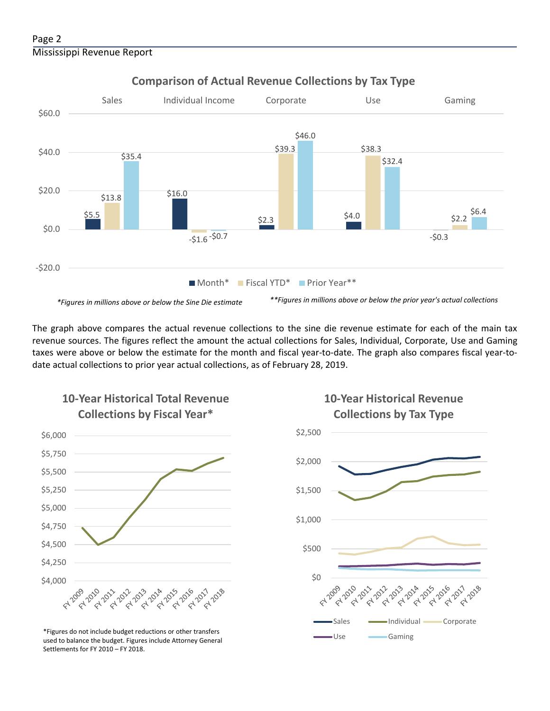

# **Comparison of Actual Revenue Collections by Tax Type**

The graph above compares the actual revenue collections to the sine die revenue estimate for each of the main tax revenue sources. The figures reflect the amount the actual collections for Sales, Individual, Corporate, Use and Gaming taxes were above or below the estimate for the month and fiscal year-to-date. The graph also compares fiscal year-todate actual collections to prior year actual collections, as of February 28, 2019.



**10-Year Historical Total Revenue** 

Use Gaming \*Figures do not include budget reductions or other transfers used to balance the budget. Figures include Attorney General Settlements for FY 2010 – FY 2018.

# **10-Year Historical Revenue Collections by Tax Type**

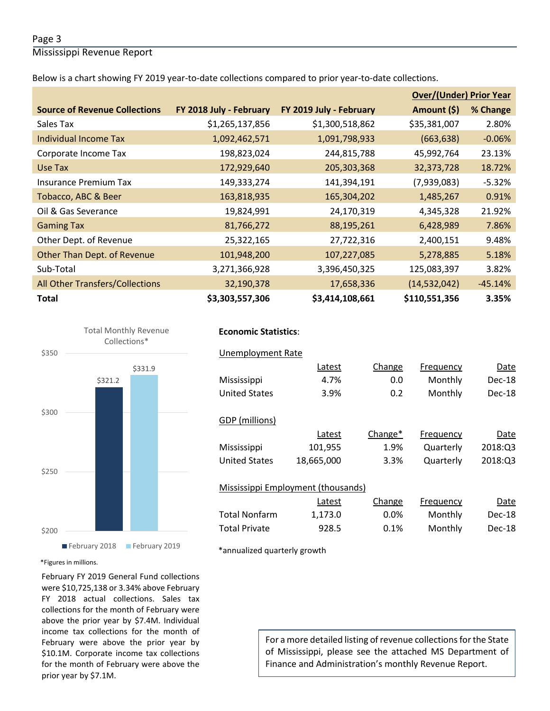## Page 3

Mississippi Revenue Report

Below is a chart showing FY 2019 year-to-date collections compared to prior year-to-date collections.

|                                      |                         |                         |                | <b>Over/(Under) Prior Year</b> |  |  |
|--------------------------------------|-------------------------|-------------------------|----------------|--------------------------------|--|--|
| <b>Source of Revenue Collections</b> | FY 2018 July - February | FY 2019 July - February | Amount (\$)    | % Change                       |  |  |
| Sales Tax                            | \$1,265,137,856         | \$1,300,518,862         | \$35,381,007   | 2.80%                          |  |  |
| Individual Income Tax                | 1,092,462,571           | 1,091,798,933           | (663, 638)     | $-0.06%$                       |  |  |
| Corporate Income Tax                 | 198,823,024             | 244,815,788             | 45,992,764     | 23.13%                         |  |  |
| Use Tax                              | 172,929,640             | 205,303,368             | 32,373,728     | 18.72%                         |  |  |
| Insurance Premium Tax                | 149,333,274             | 141,394,191             | (7,939,083)    | $-5.32%$                       |  |  |
| Tobacco, ABC & Beer                  | 163,818,935             | 165,304,202             | 1,485,267      | 0.91%                          |  |  |
| Oil & Gas Severance                  | 19,824,991              | 24,170,319              | 4,345,328      | 21.92%                         |  |  |
| <b>Gaming Tax</b>                    | 81,766,272              | 88,195,261              | 6,428,989      | 7.86%                          |  |  |
| Other Dept. of Revenue               | 25,322,165              | 27,722,316              | 2,400,151      | 9.48%                          |  |  |
| Other Than Dept. of Revenue          | 101,948,200             | 107,227,085             | 5,278,885      | 5.18%                          |  |  |
| Sub-Total                            | 3,271,366,928           | 3,396,450,325           | 125,083,397    | 3.82%                          |  |  |
| All Other Transfers/Collections      | 32,190,378              | 17,658,336              | (14, 532, 042) | $-45.14%$                      |  |  |
| <b>Total</b>                         | \$3,303,557,306         | \$3,414,108,661         | \$110,551,356  | 3.35%                          |  |  |



# **Economic Statistics**:

| Unemployment Rate                  |            |         |           |         |
|------------------------------------|------------|---------|-----------|---------|
|                                    | Latest     | Change  | Frequency | Date    |
| Mississippi                        | 4.7%       | 0.0     | Monthly   | Dec-18  |
| <b>United States</b>               | 3.9%       | 0.2     | Monthly   | Dec-18  |
|                                    |            |         |           |         |
| GDP (millions)                     |            |         |           |         |
|                                    | Latest     | Change* | Frequency | Date    |
| Mississippi                        | 101,955    | 1.9%    | Quarterly | 2018:03 |
| <b>United States</b>               | 18,665,000 | 3.3%    | Quarterly | 2018:03 |
|                                    |            |         |           |         |
| Mississippi Employment (thousands) |            |         |           |         |
|                                    | Latest     | Change  | Frequency | Date    |
| <b>Total Nonfarm</b>               | 1,173.0    | $0.0\%$ | Monthly   | Dec-18  |
| <b>Total Private</b>               | 928.5      | 0.1%    | Monthly   | Dec-18  |

\*annualized quarterly growth

### \*Figures in millions.

February FY 2019 General Fund collections were \$10,725,138 or 3.34% above February FY 2018 actual collections. Sales tax collections for the month of February were above the prior year by \$7.4M. Individual income tax collections for the month of February were above the prior year by \$10.1M. Corporate income tax collections for the month of February were above the prior year by \$7.1M.

For a more detailed listing of revenue collections for the State of Mississippi, please see the attached MS Department of Finance and Administration's monthly Revenue Report.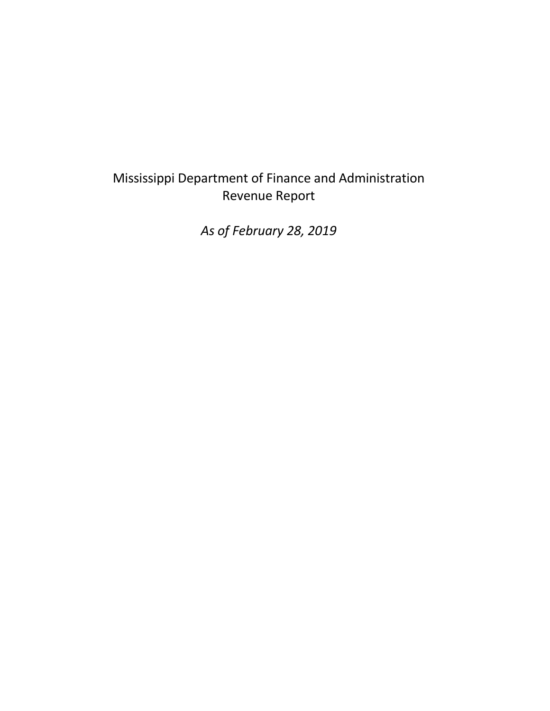# Mississippi Department of Finance and Administration Revenue Report

*As of February 28, 2019*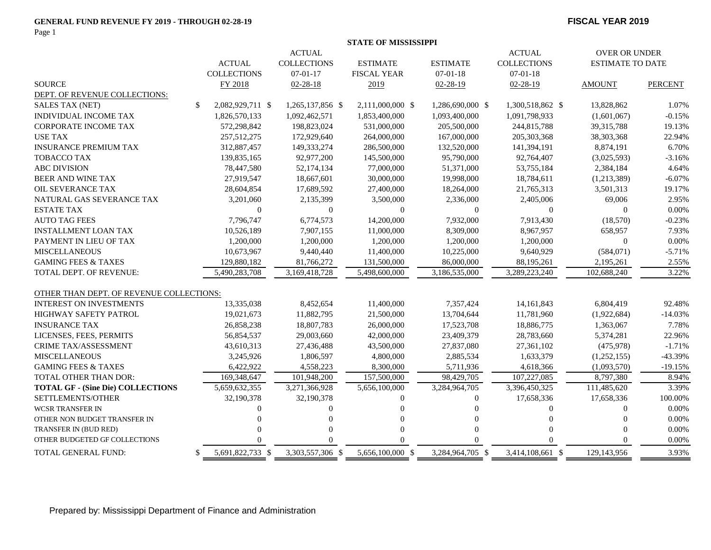## **GENERAL FUND REVENUE FY 2019 - THROUGH 02-28-19 FISCAL YEAR 2019**

Page 1

|                                          |                                |                    |                    | <b>STATE OF MISSISSIPPI</b> |                  |                    |                         |                |  |
|------------------------------------------|--------------------------------|--------------------|--------------------|-----------------------------|------------------|--------------------|-------------------------|----------------|--|
|                                          | <b>ACTUAL</b><br><b>ACTUAL</b> |                    |                    |                             |                  |                    | <b>OVER OR UNDER</b>    |                |  |
|                                          |                                | <b>ACTUAL</b>      | <b>COLLECTIONS</b> | <b>ESTIMATE</b>             | <b>ESTIMATE</b>  | <b>COLLECTIONS</b> | <b>ESTIMATE TO DATE</b> |                |  |
|                                          |                                | <b>COLLECTIONS</b> | $07 - 01 - 17$     | <b>FISCAL YEAR</b>          | $07 - 01 - 18$   | $07 - 01 - 18$     |                         |                |  |
| <b>SOURCE</b>                            |                                | FY 2018            | $02 - 28 - 18$     | 2019                        | $02 - 28 - 19$   | $02 - 28 - 19$     | <b>AMOUNT</b>           | <b>PERCENT</b> |  |
| DEPT. OF REVENUE COLLECTIONS:            |                                |                    |                    |                             |                  |                    |                         |                |  |
| <b>SALES TAX (NET)</b>                   | \$                             | 2,082,929,711 \$   | 1,265,137,856 \$   | 2,111,000,000 \$            | 1,286,690,000 \$ | 1,300,518,862 \$   | 13,828,862              | 1.07%          |  |
| <b>INDIVIDUAL INCOME TAX</b>             |                                | 1,826,570,133      | 1,092,462,571      | 1,853,400,000               | 1,093,400,000    | 1,091,798,933      | (1,601,067)             | $-0.15%$       |  |
| <b>CORPORATE INCOME TAX</b>              |                                | 572,298,842        | 198,823,024        | 531,000,000                 | 205,500,000      | 244,815,788        | 39, 315, 788            | 19.13%         |  |
| <b>USE TAX</b>                           |                                | 257,512,275        | 172,929,640        | 264,000,000                 | 167,000,000      | 205, 303, 368      | 38,303,368              | 22.94%         |  |
| <b>INSURANCE PREMIUM TAX</b>             |                                | 312,887,457        | 149,333,274        | 286,500,000                 | 132,520,000      | 141,394,191        | 8,874,191               | 6.70%          |  |
| TOBACCO TAX                              |                                | 139,835,165        | 92,977,200         | 145,500,000                 | 95,790,000       | 92,764,407         | (3,025,593)             | $-3.16%$       |  |
| <b>ABC DIVISION</b>                      |                                | 78,447,580         | 52,174,134         | 77,000,000                  | 51,371,000       | 53,755,184         | 2,384,184               | 4.64%          |  |
| <b>BEER AND WINE TAX</b>                 |                                | 27,919,547         | 18,667,601         | 30,000,000                  | 19,998,000       | 18,784,611         | (1,213,389)             | $-6.07%$       |  |
| OIL SEVERANCE TAX                        |                                | 28,604,854         | 17,689,592         | 27,400,000                  | 18,264,000       | 21,765,313         | 3,501,313               | 19.17%         |  |
| NATURAL GAS SEVERANCE TAX                |                                | 3,201,060          | 2,135,399          | 3,500,000                   | 2,336,000        | 2,405,006          | 69,006                  | 2.95%          |  |
| <b>ESTATE TAX</b>                        |                                | $\Omega$           | $\overline{0}$     | $\mathbf{0}$                | $\mathbf{0}$     | $\Omega$           | $\Omega$                | 0.00%          |  |
| <b>AUTO TAG FEES</b>                     |                                | 7,796,747          | 6,774,573          | 14,200,000                  | 7,932,000        | 7,913,430          | (18,570)                | $-0.23%$       |  |
| <b>INSTALLMENT LOAN TAX</b>              |                                | 10,526,189         | 7,907,155          | 11,000,000                  | 8,309,000        | 8,967,957          | 658,957                 | 7.93%          |  |
| PAYMENT IN LIEU OF TAX                   |                                | 1,200,000          | 1,200,000          | 1,200,000                   | 1,200,000        | 1,200,000          | $\mathbf{0}$            | 0.00%          |  |
| <b>MISCELLANEOUS</b>                     |                                | 10,673,967         | 9,440,440          | 11,400,000                  | 10,225,000       | 9,640,929          | (584, 071)              | $-5.71%$       |  |
| <b>GAMING FEES &amp; TAXES</b>           |                                | 129,880,182        | 81,766,272         | 131,500,000                 | 86,000,000       | 88,195,261         | 2,195,261               | 2.55%          |  |
| TOTAL DEPT. OF REVENUE:                  |                                | 5,490,283,708      | 3,169,418,728      | 5,498,600,000               | 3,186,535,000    | 3,289,223,240      | 102,688,240             | 3.22%          |  |
| OTHER THAN DEPT. OF REVENUE COLLECTIONS: |                                |                    |                    |                             |                  |                    |                         |                |  |
| <b>INTEREST ON INVESTMENTS</b>           |                                | 13,335,038         | 8,452,654          | 11,400,000                  | 7,357,424        | 14, 161, 843       | 6,804,419               | 92.48%         |  |
| <b>HIGHWAY SAFETY PATROL</b>             |                                | 19,021,673         | 11,882,795         | 21,500,000                  | 13,704,644       | 11,781,960         | (1,922,684)             | $-14.03%$      |  |
| <b>INSURANCE TAX</b>                     |                                | 26,858,238         | 18,807,783         | 26,000,000                  | 17,523,708       | 18,886,775         | 1,363,067               | 7.78%          |  |
| LICENSES, FEES, PERMITS                  |                                | 56,854,537         | 29,003,660         | 42,000,000                  | 23,409,379       | 28,783,660         | 5,374,281               | 22.96%         |  |
| CRIME TAX/ASSESSMENT                     |                                | 43,610,313         | 27,436,488         | 43,500,000                  | 27,837,080       | 27,361,102         | (475, 978)              | $-1.71%$       |  |
| <b>MISCELLANEOUS</b>                     |                                | 3,245,926          | 1,806,597          | 4,800,000                   | 2,885,534        | 1,633,379          | (1,252,155)             | -43.39%        |  |
| <b>GAMING FEES &amp; TAXES</b>           |                                | 6,422,922          | 4,558,223          | 8,300,000                   | 5,711,936        | 4,618,366          | (1,093,570)             | $-19.15%$      |  |
| <b>TOTAL OTHER THAN DOR:</b>             |                                | 169,348,647        | 101,948,200        | 157,500,000                 | 98,429,705       | 107,227,085        | 8,797,380               | 8.94%          |  |
| <b>TOTAL GF - (Sine Die) COLLECTIONS</b> |                                | 5,659,632,355      | 3,271,366,928      | 5,656,100,000               | 3,284,964,705    | 3,396,450,325      | 111,485,620             | 3.39%          |  |
| SETTLEMENTS/OTHER                        |                                | 32,190,378         | 32,190,378         | $\mathbf{0}$                | $\mathbf{0}$     | 17,658,336         | 17,658,336              | 100.00%        |  |
| <b>WCSR TRANSFER IN</b>                  |                                | $\Omega$           | $\Omega$           | $\Omega$                    |                  | $\Omega$           | $\Omega$                | 0.00%          |  |
| OTHER NON BUDGET TRANSFER IN             |                                |                    | $\Omega$           | $\Omega$                    |                  | $\Omega$           | $\Omega$                | 0.00%          |  |
| TRANSFER IN (BUD RED)                    |                                |                    | $\theta$           | $\mathbf{0}$                | $\Omega$         | $\Omega$           | $\Omega$                | 0.00%          |  |
| OTHER BUDGETED GF COLLECTIONS            |                                |                    | 0                  | $\Omega$                    |                  |                    | $\Omega$                | 0.00%          |  |
| <b>TOTAL GENERAL FUND:</b>               | \$                             | 5,691,822,733 \$   | 3,303,557,306 \$   | 5,656,100,000 \$            | 3,284,964,705 \$ | 3,414,108,661 \$   | 129,143,956             | 3.93%          |  |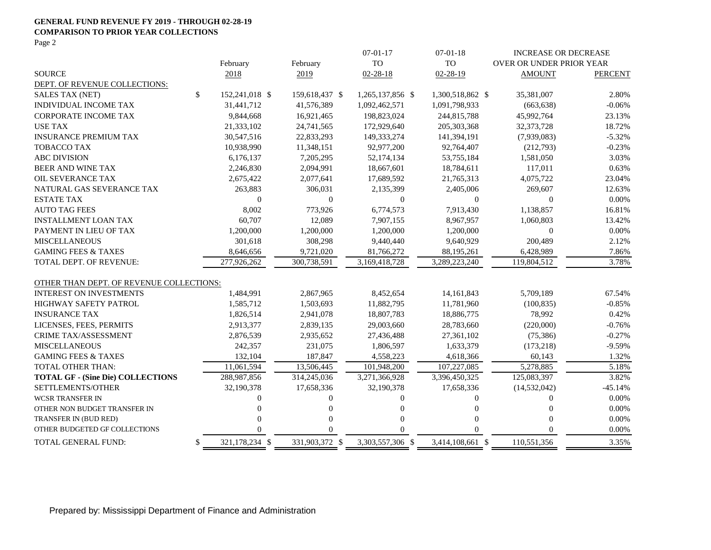### **GENERAL FUND REVENUE FY 2019 - THROUGH 02-28-19 COMPARISON TO PRIOR YEAR COLLECTIONS**

Page 2

|                                          |    |                  |                | $07-01-17$       | $07-01-18$       | <b>INCREASE OR DECREASE</b> |                |
|------------------------------------------|----|------------------|----------------|------------------|------------------|-----------------------------|----------------|
|                                          |    | February         | February       | <b>TO</b>        | <b>TO</b>        | OVER OR UNDER PRIOR YEAR    |                |
| <b>SOURCE</b>                            |    | 2018             | 2019           | $02 - 28 - 18$   | $02 - 28 - 19$   | <b>AMOUNT</b>               | <b>PERCENT</b> |
| DEPT. OF REVENUE COLLECTIONS:            |    |                  |                |                  |                  |                             |                |
| <b>SALES TAX (NET)</b>                   | \$ | 152,241,018 \$   | 159,618,437 \$ | 1,265,137,856 \$ | 1,300,518,862 \$ | 35,381,007                  | 2.80%          |
| INDIVIDUAL INCOME TAX                    |    | 31,441,712       | 41,576,389     | 1,092,462,571    | 1,091,798,933    | (663, 638)                  | $-0.06%$       |
| <b>CORPORATE INCOME TAX</b>              |    | 9,844,668        | 16,921,465     | 198,823,024      | 244,815,788      | 45,992,764                  | 23.13%         |
| <b>USE TAX</b>                           |    | 21,333,102       | 24,741,565     | 172,929,640      | 205, 303, 368    | 32, 373, 728                | 18.72%         |
| <b>INSURANCE PREMIUM TAX</b>             |    | 30,547,516       | 22,833,293     | 149,333,274      | 141,394,191      | (7,939,083)                 | $-5.32%$       |
| <b>TOBACCO TAX</b>                       |    | 10,938,990       | 11,348,151     | 92,977,200       | 92,764,407       | (212,793)                   | $-0.23%$       |
| <b>ABC DIVISION</b>                      |    | 6,176,137        | 7,205,295      | 52,174,134       | 53,755,184       | 1,581,050                   | 3.03%          |
| BEER AND WINE TAX                        |    | 2,246,830        | 2,094,991      | 18,667,601       | 18,784,611       | 117,011                     | 0.63%          |
| OIL SEVERANCE TAX                        |    | 2,675,422        | 2,077,641      | 17,689,592       | 21,765,313       | 4,075,722                   | 23.04%         |
| NATURAL GAS SEVERANCE TAX                |    | 263,883          | 306,031        | 2,135,399        | 2,405,006        | 269,607                     | 12.63%         |
| <b>ESTATE TAX</b>                        |    | $\boldsymbol{0}$ | 0              | 0                | $\boldsymbol{0}$ | $\boldsymbol{0}$            | $0.00\%$       |
| <b>AUTO TAG FEES</b>                     |    | 8,002            | 773,926        | 6,774,573        | 7,913,430        | 1,138,857                   | 16.81%         |
| <b>INSTALLMENT LOAN TAX</b>              |    | 60,707           | 12,089         | 7,907,155        | 8,967,957        | 1,060,803                   | 13.42%         |
| PAYMENT IN LIEU OF TAX                   |    | 1,200,000        | 1,200,000      | 1,200,000        | 1,200,000        | $\overline{0}$              | 0.00%          |
| <b>MISCELLANEOUS</b>                     |    | 301,618          | 308,298        | 9,440,440        | 9,640,929        | 200,489                     | 2.12%          |
| <b>GAMING FEES &amp; TAXES</b>           |    | 8,646,656        | 9,721,020      | 81,766,272       | 88,195,261       | 6,428,989                   | 7.86%          |
| <b>TOTAL DEPT. OF REVENUE:</b>           |    | 277.926.262      | 300,738,591    | 3,169,418,728    | 3,289,223,240    | 119,804,512                 | 3.78%          |
| OTHER THAN DEPT. OF REVENUE COLLECTIONS: |    |                  |                |                  |                  |                             |                |
| <b>INTEREST ON INVESTMENTS</b>           |    | 1,484,991        | 2,867,965      | 8,452,654        | 14, 161, 843     | 5,709,189                   | 67.54%         |
| <b>HIGHWAY SAFETY PATROL</b>             |    | 1,585,712        | 1,503,693      | 11,882,795       | 11,781,960       | (100, 835)                  | $-0.85%$       |
| <b>INSURANCE TAX</b>                     |    | 1,826,514        | 2,941,078      | 18,807,783       | 18,886,775       | 78,992                      | 0.42%          |
| LICENSES, FEES, PERMITS                  |    | 2,913,377        | 2,839,135      | 29,003,660       | 28,783,660       | (220,000)                   | $-0.76%$       |
| <b>CRIME TAX/ASSESSMENT</b>              |    | 2,876,539        | 2,935,652      | 27,436,488       | 27,361,102       | (75, 386)                   | $-0.27%$       |
| <b>MISCELLANEOUS</b>                     |    | 242,357          | 231,075        | 1,806,597        | 1,633,379        | (173, 218)                  | $-9.59%$       |
| <b>GAMING FEES &amp; TAXES</b>           |    | 132,104          | 187,847        | 4,558,223        | 4,618,366        | 60,143                      | 1.32%          |
| <b>TOTAL OTHER THAN:</b>                 |    | 11,061,594       | 13,506,445     | 101,948,200      | 107,227,085      | 5,278,885                   | 5.18%          |
| <b>TOTAL GF - (Sine Die) COLLECTIONS</b> |    | 288,987,856      | 314,245,036    | 3,271,366,928    | 3,396,450,325    | 125,083,397                 | 3.82%          |
| SETTLEMENTS/OTHER                        |    | 32,190,378       | 17,658,336     | 32,190,378       | 17,658,336       | (14, 532, 042)              | $-45.14%$      |
| <b>WCSR TRANSFER IN</b>                  |    | 0                | $\Omega$       | 0                | $\theta$         | $\Omega$                    | 0.00%          |
| OTHER NON BUDGET TRANSFER IN             |    | 0                | $\Omega$       | $\Omega$         | $\theta$         | $\Omega$                    | 0.00%          |
| TRANSFER IN (BUD RED)                    |    | 0                | $\Omega$       | $\Omega$         | $\Omega$         | $\Omega$                    | 0.00%          |
| OTHER BUDGETED GF COLLECTIONS            |    | $\Omega$         | $\Omega$       | $\Omega$         | $\Omega$         | $\Omega$                    | 0.00%          |
| TOTAL GENERAL FUND:                      | \$ | 321,178,234 \$   | 331,903,372 \$ | 3,303,557,306 \$ | 3,414,108,661 \$ | 110,551,356                 | 3.35%          |